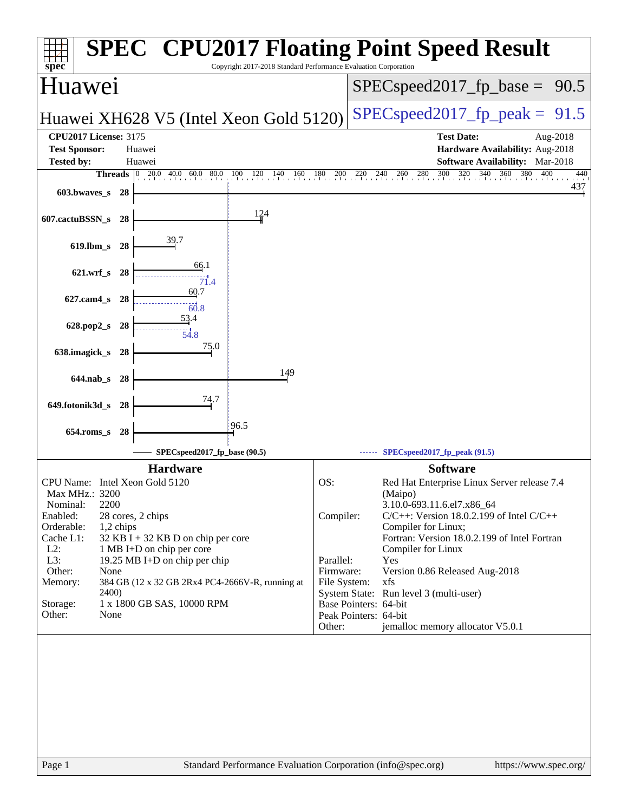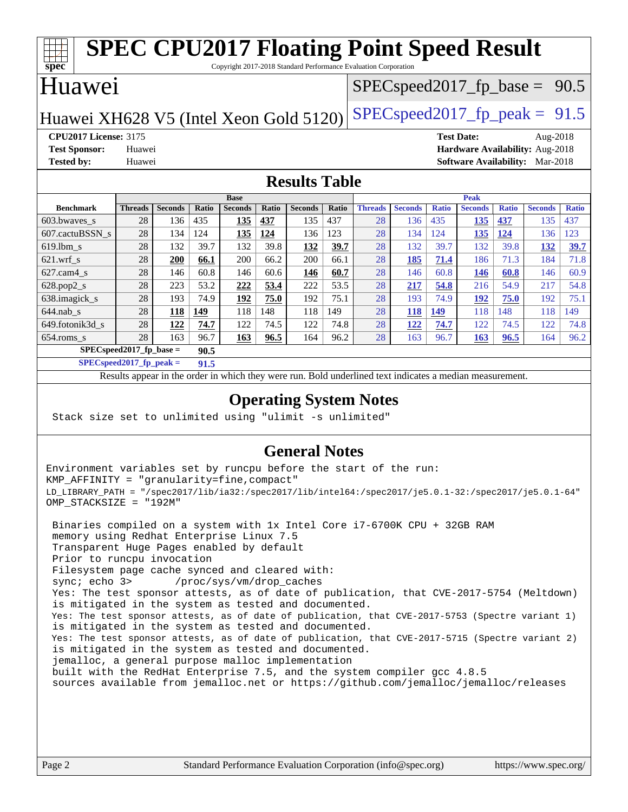| <b>SPEC CPU2017 Floating Point Speed Result</b>                          |                |                |       |                |             |                |                                   |                |                |              |                |              |                |              |
|--------------------------------------------------------------------------|----------------|----------------|-------|----------------|-------------|----------------|-----------------------------------|----------------|----------------|--------------|----------------|--------------|----------------|--------------|
| spec®<br>Copyright 2017-2018 Standard Performance Evaluation Corporation |                |                |       |                |             |                |                                   |                |                |              |                |              |                |              |
| Huawei                                                                   |                |                |       |                |             |                | $SPEC speed2017_f p\_base = 90.5$ |                |                |              |                |              |                |              |
| $SPEC speed2017fp peak = 91.5$<br>Huawei XH628 V5 (Intel Xeon Gold 5120) |                |                |       |                |             |                |                                   |                |                |              |                |              |                |              |
| <b>CPU2017 License: 3175</b><br><b>Test Date:</b><br>Aug-2018            |                |                |       |                |             |                |                                   |                |                |              |                |              |                |              |
| Hardware Availability: Aug-2018<br><b>Test Sponsor:</b><br>Huawei        |                |                |       |                |             |                |                                   |                |                |              |                |              |                |              |
| <b>Tested by:</b><br><b>Software Availability:</b> Mar-2018<br>Huawei    |                |                |       |                |             |                |                                   |                |                |              |                |              |                |              |
| <b>Results Table</b>                                                     |                |                |       |                |             |                |                                   |                |                |              |                |              |                |              |
| Peak<br><b>Base</b>                                                      |                |                |       |                |             |                |                                   |                |                |              |                |              |                |              |
| <b>Benchmark</b>                                                         | <b>Threads</b> | <b>Seconds</b> | Ratio | <b>Seconds</b> | Ratio       | <b>Seconds</b> | Ratio                             | <b>Threads</b> | <b>Seconds</b> | <b>Ratio</b> | <b>Seconds</b> | <b>Ratio</b> | <b>Seconds</b> | <b>Ratio</b> |
| 603.bwaves_s                                                             | 28             | 136            | 435   | <u>135</u>     | 437         | 135            | 437                               | 28             | 136            | 435          | <b>135</b>     | 437          | 135            | 437          |
| 607.cactuBSSN s                                                          | 28             | 134            | 124   | 135            | 124         | 136            | 123                               | 28             | 134            | 124          | 135            | 124          | 136            | 123          |
| $619.1$ bm s                                                             | 28             | 132            | 39.7  | 132            | 39.8        | 132            | 39.7                              | 28             | 132            | 39.7         | 132            | 39.8         | 132            | <b>39.7</b>  |
| $621$ .wrf s                                                             | 28             | <b>200</b>     | 66.1  | 200            | 66.2        | 200            | 66.1                              | 28             | 185            | 71.4         | 186            | 71.3         | 184            | 71.8         |
| 627.cam4_s                                                               | 28             | 146            | 60.8  | 146            | 60.6        | 146            | 60.7                              | 28             | 146            | 60.8         | 146            | 60.8         | 146            | 60.9         |
| 628.pop2_s                                                               | 28             | 223            | 53.2  | 222            | 53.4        | 222            | 53.5                              | 28             | 217            | 54.8         | 216            | 54.9         | 217            | 54.8         |
| 638.imagick_s                                                            | 28             | 193            | 74.9  | 192            | 75.0        | 192            | 75.1                              | 28             | 193            | 74.9         | 192            | 75.0         | 192            | 75.1         |
| $644$ .nab s                                                             | 28             | 118            | 149   | 118            | 148         | 118            | 149                               | 28             | 118            | 149          | 118            | 148          | 118            | 149          |
| 649.fotonik3d_s                                                          | 28             | 122            | 74.7  | 122            | 74.5        | 122            | 74.8                              | 28             | 122            | 74.7         | 122            | 74.5         | 122            | 74.8         |
| 654.roms s                                                               | 28             | 163            | 96.7  | 163            | <u>96.5</u> | 164            | 96.2                              | 28             | 163            | 96.7         | 163            | 96.5         | 164            | 96.2         |
| $SPEC speed2017$ fp base =<br>90.5                                       |                |                |       |                |             |                |                                   |                |                |              |                |              |                |              |

**[SPECspeed2017\\_fp\\_peak =](http://www.spec.org/auto/cpu2017/Docs/result-fields.html#SPECspeed2017fppeak) 91.5**

Results appear in the [order in which they were run.](http://www.spec.org/auto/cpu2017/Docs/result-fields.html#RunOrder) Bold underlined text [indicates a median measurement](http://www.spec.org/auto/cpu2017/Docs/result-fields.html#Median).

### **[Operating System Notes](http://www.spec.org/auto/cpu2017/Docs/result-fields.html#OperatingSystemNotes)**

Stack size set to unlimited using "ulimit -s unlimited"

### **[General Notes](http://www.spec.org/auto/cpu2017/Docs/result-fields.html#GeneralNotes)**

Environment variables set by runcpu before the start of the run: KMP\_AFFINITY = "granularity=fine,compact" LD\_LIBRARY\_PATH = "/spec2017/lib/ia32:/spec2017/lib/intel64:/spec2017/je5.0.1-32:/spec2017/je5.0.1-64" OMP\_STACKSIZE = "192M"

 Binaries compiled on a system with 1x Intel Core i7-6700K CPU + 32GB RAM memory using Redhat Enterprise Linux 7.5 Transparent Huge Pages enabled by default Prior to runcpu invocation Filesystem page cache synced and cleared with: sync; echo 3> /proc/sys/vm/drop\_caches Yes: The test sponsor attests, as of date of publication, that CVE-2017-5754 (Meltdown) is mitigated in the system as tested and documented. Yes: The test sponsor attests, as of date of publication, that CVE-2017-5753 (Spectre variant 1) is mitigated in the system as tested and documented. Yes: The test sponsor attests, as of date of publication, that CVE-2017-5715 (Spectre variant 2) is mitigated in the system as tested and documented. jemalloc, a general purpose malloc implementation built with the RedHat Enterprise 7.5, and the system compiler gcc 4.8.5 sources available from jemalloc.net or <https://github.com/jemalloc/jemalloc/releases>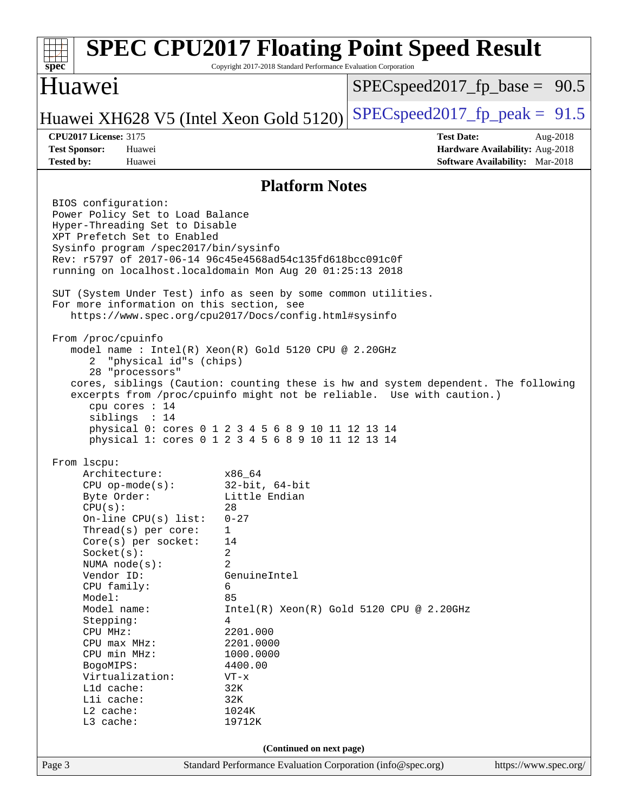| spec                                                                                                                                                                                                                                                                                                                                                                                          | Copyright 2017-2018 Standard Performance Evaluation Corporation                                                                                                                                                                 | <b>SPEC CPU2017 Floating Point Speed Result</b>                                                                                                             |  |  |  |  |
|-----------------------------------------------------------------------------------------------------------------------------------------------------------------------------------------------------------------------------------------------------------------------------------------------------------------------------------------------------------------------------------------------|---------------------------------------------------------------------------------------------------------------------------------------------------------------------------------------------------------------------------------|-------------------------------------------------------------------------------------------------------------------------------------------------------------|--|--|--|--|
| Huawei                                                                                                                                                                                                                                                                                                                                                                                        |                                                                                                                                                                                                                                 | $SPEC speed2017_f p\_base = 90.5$                                                                                                                           |  |  |  |  |
| Huawei XH628 V5 (Intel Xeon Gold 5120)                                                                                                                                                                                                                                                                                                                                                        |                                                                                                                                                                                                                                 | $SPEC speed2017fp peak = 91.5$                                                                                                                              |  |  |  |  |
| <b>CPU2017 License: 3175</b><br><b>Test Sponsor:</b><br>Huawei<br><b>Tested by:</b><br>Huawei                                                                                                                                                                                                                                                                                                 |                                                                                                                                                                                                                                 | <b>Test Date:</b><br>Aug-2018<br>Hardware Availability: Aug-2018<br><b>Software Availability:</b> Mar-2018                                                  |  |  |  |  |
|                                                                                                                                                                                                                                                                                                                                                                                               | <b>Platform Notes</b>                                                                                                                                                                                                           |                                                                                                                                                             |  |  |  |  |
| BIOS configuration:<br>Power Policy Set to Load Balance<br>Hyper-Threading Set to Disable<br>XPT Prefetch Set to Enabled<br>Sysinfo program /spec2017/bin/sysinfo<br>Rev: r5797 of 2017-06-14 96c45e4568ad54c135fd618bcc091c0f<br>running on localhost.localdomain Mon Aug 20 01:25:13 2018<br>SUT (System Under Test) info as seen by some common utilities.                                 |                                                                                                                                                                                                                                 |                                                                                                                                                             |  |  |  |  |
| For more information on this section, see<br>https://www.spec.org/cpu2017/Docs/config.html#sysinfo                                                                                                                                                                                                                                                                                            |                                                                                                                                                                                                                                 |                                                                                                                                                             |  |  |  |  |
| From /proc/cpuinfo<br>model name : Intel(R) Xeon(R) Gold 5120 CPU @ 2.20GHz<br>"physical id"s (chips)<br>2.<br>28 "processors"<br>cpu cores : 14<br>siblings : 14<br>physical 0: cores 0 1 2 3 4 5 6 8 9 10 11 12 13 14<br>physical 1: cores 0 1 2 3 4 5 6 8 9 10 11 12 13 14                                                                                                                 |                                                                                                                                                                                                                                 | cores, siblings (Caution: counting these is hw and system dependent. The following<br>excerpts from /proc/cpuinfo might not be reliable. Use with caution.) |  |  |  |  |
| From 1scpu:<br>Architecture:<br>$CPU$ op-mode( $s$ ):<br>Byte Order:<br>CPU(s):<br>On-line CPU(s) list:<br>Thread(s) per core:<br>Core(s) per socket:<br>Socket(s):<br>NUMA node(s):<br>Vendor ID:<br>CPU family:<br>Model:<br>Model name:<br>Stepping:<br>CPU MHz:<br>$CPU$ max $MHz:$<br>CPU min MHz:<br>BogoMIPS:<br>Virtualization:<br>Lld cache:<br>Lli cache:<br>L2 cache:<br>L3 cache: | x86_64<br>$32$ -bit, $64$ -bit<br>Little Endian<br>28<br>$0 - 27$<br>$\mathbf{1}$<br>14<br>2<br>2<br>GenuineIntel<br>6<br>85<br>4<br>2201.000<br>2201.0000<br>1000.0000<br>4400.00<br>$VT - x$<br>32K<br>32K<br>1024K<br>19712K | $Intel(R)$ Xeon $(R)$ Gold 5120 CPU @ 2.20GHz                                                                                                               |  |  |  |  |
|                                                                                                                                                                                                                                                                                                                                                                                               | (Continued on next page)                                                                                                                                                                                                        |                                                                                                                                                             |  |  |  |  |
| Page 3                                                                                                                                                                                                                                                                                                                                                                                        | Standard Performance Evaluation Corporation (info@spec.org)                                                                                                                                                                     | https://www.spec.org/                                                                                                                                       |  |  |  |  |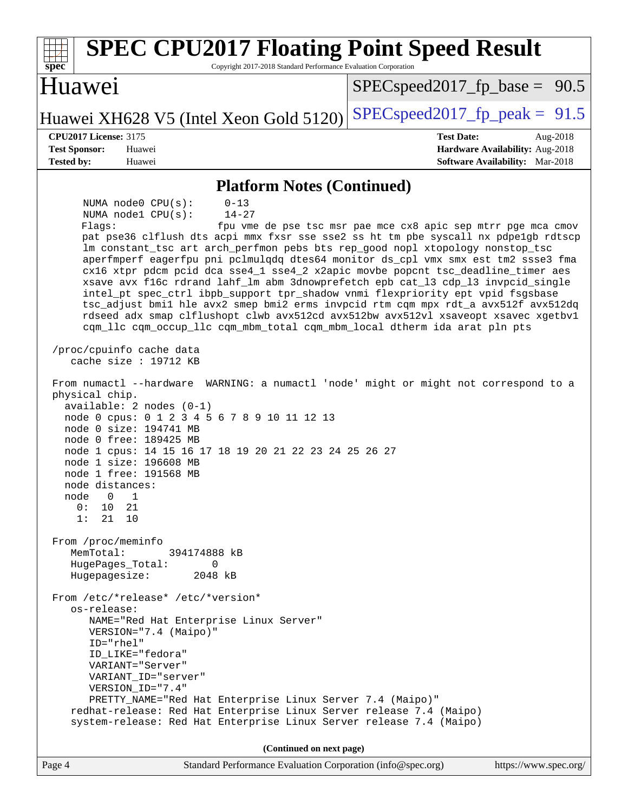| <b>SPEC CPU2017 Floating Point Speed Result</b><br>Copyright 2017-2018 Standard Performance Evaluation Corporation<br>spec <sup>®</sup>                                                                                                                                                                                                                                                                                                                                                                                                                                                                                                                                                                                                                                                                                                                                                                                                                                                                    |                                                                                                            |
|------------------------------------------------------------------------------------------------------------------------------------------------------------------------------------------------------------------------------------------------------------------------------------------------------------------------------------------------------------------------------------------------------------------------------------------------------------------------------------------------------------------------------------------------------------------------------------------------------------------------------------------------------------------------------------------------------------------------------------------------------------------------------------------------------------------------------------------------------------------------------------------------------------------------------------------------------------------------------------------------------------|------------------------------------------------------------------------------------------------------------|
| Huawei                                                                                                                                                                                                                                                                                                                                                                                                                                                                                                                                                                                                                                                                                                                                                                                                                                                                                                                                                                                                     | $SPEC speed2017_f p\_base = 90.5$                                                                          |
| Huawei XH628 V5 (Intel Xeon Gold 5120)                                                                                                                                                                                                                                                                                                                                                                                                                                                                                                                                                                                                                                                                                                                                                                                                                                                                                                                                                                     | $SPEC speed2017_fp\_peak = 91.5$                                                                           |
| <b>CPU2017 License: 3175</b><br><b>Test Sponsor:</b><br>Huawei<br><b>Tested by:</b><br>Huawei                                                                                                                                                                                                                                                                                                                                                                                                                                                                                                                                                                                                                                                                                                                                                                                                                                                                                                              | <b>Test Date:</b><br>Aug-2018<br>Hardware Availability: Aug-2018<br><b>Software Availability:</b> Mar-2018 |
| <b>Platform Notes (Continued)</b>                                                                                                                                                                                                                                                                                                                                                                                                                                                                                                                                                                                                                                                                                                                                                                                                                                                                                                                                                                          |                                                                                                            |
| NUMA node0 CPU(s):<br>$0 - 13$<br>NUMA nodel CPU(s):<br>$14 - 27$<br>Flagg:<br>pat pse36 clflush dts acpi mmx fxsr sse sse2 ss ht tm pbe syscall nx pdpelgb rdtscp<br>lm constant_tsc art arch_perfmon pebs bts rep_good nopl xtopology nonstop_tsc<br>aperfmperf eagerfpu pni pclmulqdq dtes64 monitor ds_cpl vmx smx est tm2 ssse3 fma<br>cx16 xtpr pdcm pcid dca sse4_1 sse4_2 x2apic movbe popcnt tsc_deadline_timer aes<br>xsave avx f16c rdrand lahf_lm abm 3dnowprefetch epb cat_13 cdp_13 invpcid_single<br>intel_pt spec_ctrl ibpb_support tpr_shadow vnmi flexpriority ept vpid fsgsbase<br>tsc_adjust bmil hle avx2 smep bmi2 erms invpcid rtm cqm mpx rdt_a avx512f avx512dq<br>rdseed adx smap clflushopt clwb avx512cd avx512bw avx512vl xsaveopt xsavec xgetbvl<br>cqm_llc cqm_occup_llc cqm_mbm_total cqm_mbm_local dtherm ida arat pln pts<br>/proc/cpuinfo cache data<br>cache size : $19712$ KB<br>From numactl --hardware WARNING: a numactl 'node' might or might not correspond to a | fpu vme de pse tsc msr pae mce cx8 apic sep mtrr pge mca cmov                                              |
| physical chip.<br>$available: 2 nodes (0-1)$<br>node 0 cpus: 0 1 2 3 4 5 6 7 8 9 10 11 12 13<br>node 0 size: 194741 MB<br>node 0 free: 189425 MB<br>node 1 cpus: 14 15 16 17 18 19 20 21 22 23 24 25 26 27<br>node 1 size: 196608 MB<br>node 1 free: 191568 MB<br>node distances:<br>node 0 1<br>0 :<br>10<br>21<br>1:<br>21<br>10                                                                                                                                                                                                                                                                                                                                                                                                                                                                                                                                                                                                                                                                         |                                                                                                            |
| From /proc/meminfo<br>MemTotal:<br>394174888 kB<br>HugePages_Total:<br>0<br>Hugepagesize:<br>2048 kB                                                                                                                                                                                                                                                                                                                                                                                                                                                                                                                                                                                                                                                                                                                                                                                                                                                                                                       |                                                                                                            |
| From /etc/*release* /etc/*version*<br>os-release:<br>NAME="Red Hat Enterprise Linux Server"<br>VERSION="7.4 (Maipo)"<br>ID="rhel"<br>ID_LIKE="fedora"<br>VARIANT="Server"<br>VARIANT_ID="server"<br>VERSION_ID="7.4"<br>PRETTY_NAME="Red Hat Enterprise Linux Server 7.4 (Maipo)"<br>redhat-release: Red Hat Enterprise Linux Server release 7.4 (Maipo)<br>system-release: Red Hat Enterprise Linux Server release 7.4 (Maipo)                                                                                                                                                                                                                                                                                                                                                                                                                                                                                                                                                                            |                                                                                                            |
| (Continued on next page)                                                                                                                                                                                                                                                                                                                                                                                                                                                                                                                                                                                                                                                                                                                                                                                                                                                                                                                                                                                   |                                                                                                            |
| Standard Performance Evaluation Corporation (info@spec.org)<br>Page 4                                                                                                                                                                                                                                                                                                                                                                                                                                                                                                                                                                                                                                                                                                                                                                                                                                                                                                                                      | https://www.spec.org/                                                                                      |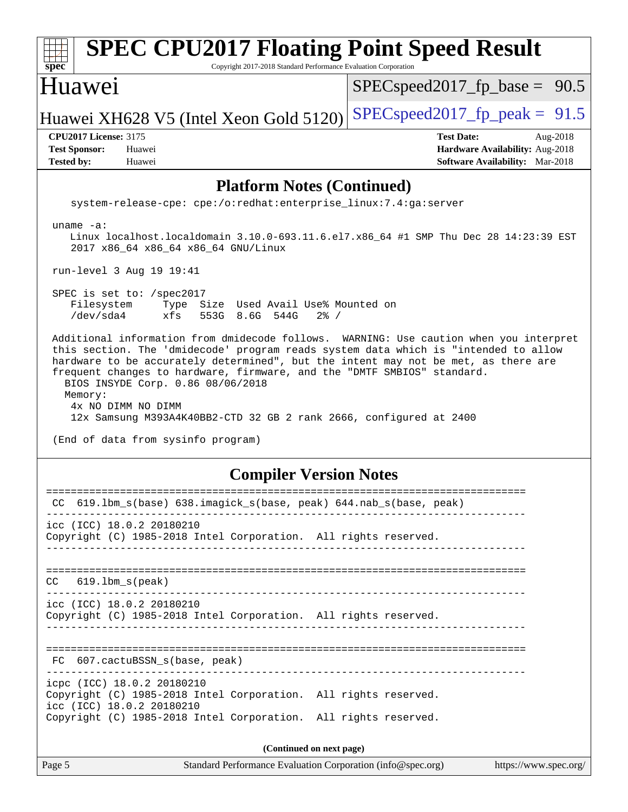| <b>SPEC CPU2017 Floating Point Speed Result</b><br>spec<br>Copyright 2017-2018 Standard Performance Evaluation Corporation                                                                                                                                                                                                                                                                                                                                                                                                       |                                                                                                            |
|----------------------------------------------------------------------------------------------------------------------------------------------------------------------------------------------------------------------------------------------------------------------------------------------------------------------------------------------------------------------------------------------------------------------------------------------------------------------------------------------------------------------------------|------------------------------------------------------------------------------------------------------------|
| Huawei                                                                                                                                                                                                                                                                                                                                                                                                                                                                                                                           | $SPEC speed2017_f p\_base = 90.5$                                                                          |
| Huawei XH628 V5 (Intel Xeon Gold 5120)                                                                                                                                                                                                                                                                                                                                                                                                                                                                                           | $SPEC speed2017_fp\_peak = 91.5$                                                                           |
| <b>CPU2017 License: 3175</b><br><b>Test Sponsor:</b><br>Huawei<br><b>Tested by:</b><br>Huawei                                                                                                                                                                                                                                                                                                                                                                                                                                    | <b>Test Date:</b><br>Aug-2018<br>Hardware Availability: Aug-2018<br><b>Software Availability:</b> Mar-2018 |
| <b>Platform Notes (Continued)</b>                                                                                                                                                                                                                                                                                                                                                                                                                                                                                                |                                                                                                            |
| system-release-cpe: cpe:/o:redhat:enterprise_linux:7.4:ga:server                                                                                                                                                                                                                                                                                                                                                                                                                                                                 |                                                                                                            |
| uname $-a$ :<br>Linux localhost.localdomain 3.10.0-693.11.6.el7.x86_64 #1 SMP Thu Dec 28 14:23:39 EST<br>2017 x86_64 x86_64 x86_64 GNU/Linux                                                                                                                                                                                                                                                                                                                                                                                     |                                                                                                            |
| run-level 3 Aug 19 19:41                                                                                                                                                                                                                                                                                                                                                                                                                                                                                                         |                                                                                                            |
| SPEC is set to: /spec2017<br>Filesystem<br>Type Size Used Avail Use% Mounted on<br>$/\text{dev/sda4}$<br>xfs<br>553G 8.6G 544G<br>$2\frac{6}{9}$ /                                                                                                                                                                                                                                                                                                                                                                               |                                                                                                            |
| Additional information from dmidecode follows. WARNING: Use caution when you interpret<br>this section. The 'dmidecode' program reads system data which is "intended to allow<br>hardware to be accurately determined", but the intent may not be met, as there are<br>frequent changes to hardware, firmware, and the "DMTF SMBIOS" standard.<br>BIOS INSYDE Corp. 0.86 08/06/2018<br>Memory:<br>4x NO DIMM NO DIMM<br>12x Samsung M393A4K40BB2-CTD 32 GB 2 rank 2666, configured at 2400<br>(End of data from sysinfo program) |                                                                                                            |
| <b>Compiler Version Notes</b>                                                                                                                                                                                                                                                                                                                                                                                                                                                                                                    |                                                                                                            |
| ----------------<br>CC 619.1bm_s(base) 638.imagick_s(base, peak) 644.nab_s(base, peak)                                                                                                                                                                                                                                                                                                                                                                                                                                           | ====================                                                                                       |
| icc (ICC) 18.0.2 20180210<br>Copyright (C) 1985-2018 Intel Corporation. All rights reserved.                                                                                                                                                                                                                                                                                                                                                                                                                                     |                                                                                                            |
| $619.1$ bm_s $(\text{peak})$<br>CC.                                                                                                                                                                                                                                                                                                                                                                                                                                                                                              |                                                                                                            |
| icc (ICC) 18.0.2 20180210<br>Copyright (C) 1985-2018 Intel Corporation. All rights reserved.                                                                                                                                                                                                                                                                                                                                                                                                                                     |                                                                                                            |
| FC 607.cactuBSSN_s(base, peak)                                                                                                                                                                                                                                                                                                                                                                                                                                                                                                   |                                                                                                            |
| ________________________________<br>icpc (ICC) 18.0.2 20180210<br>Copyright (C) 1985-2018 Intel Corporation. All rights reserved.<br>icc (ICC) 18.0.2 20180210<br>Copyright (C) 1985-2018 Intel Corporation. All rights reserved.                                                                                                                                                                                                                                                                                                |                                                                                                            |
| (Continued on next page)                                                                                                                                                                                                                                                                                                                                                                                                                                                                                                         |                                                                                                            |
| Page 5<br>Standard Performance Evaluation Corporation (info@spec.org)                                                                                                                                                                                                                                                                                                                                                                                                                                                            | https://www.spec.org/                                                                                      |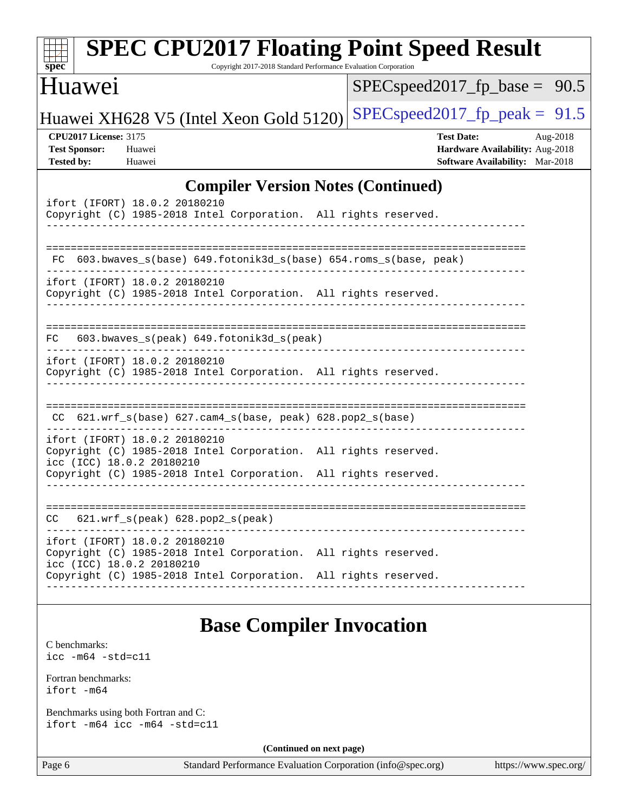| $spec^*$                                                                  | <b>SPEC CPU2017 Floating Point Speed Result</b>                                                                               | Copyright 2017-2018 Standard Performance Evaluation Corporation |                                                             |                                                                                         |                       |
|---------------------------------------------------------------------------|-------------------------------------------------------------------------------------------------------------------------------|-----------------------------------------------------------------|-------------------------------------------------------------|-----------------------------------------------------------------------------------------|-----------------------|
| Huawei                                                                    |                                                                                                                               |                                                                 |                                                             | $SPEC speed2017_f p\_base = 90.5$                                                       |                       |
|                                                                           | Huawei XH628 V5 (Intel Xeon Gold 5120)                                                                                        |                                                                 |                                                             | $SPEC speed2017fr peak = 91.5$                                                          |                       |
| <b>CPU2017 License: 3175</b><br><b>Test Sponsor:</b><br><b>Tested by:</b> | Huawei<br>Huawei                                                                                                              |                                                                 |                                                             | <b>Test Date:</b><br>Hardware Availability: Aug-2018<br>Software Availability: Mar-2018 | Aug-2018              |
|                                                                           |                                                                                                                               |                                                                 | <b>Compiler Version Notes (Continued)</b>                   |                                                                                         |                       |
|                                                                           | ifort (IFORT) 18.0.2 20180210<br>Copyright (C) 1985-2018 Intel Corporation. All rights reserved.                              |                                                                 |                                                             |                                                                                         |                       |
| FC.                                                                       | 603.bwaves_s(base) 649.fotonik3d_s(base) 654.roms_s(base, peak)                                                               |                                                                 |                                                             |                                                                                         |                       |
|                                                                           | ifort (IFORT) 18.0.2 20180210<br>Copyright (C) 1985-2018 Intel Corporation. All rights reserved.                              |                                                                 |                                                             |                                                                                         |                       |
| FC.                                                                       | 603.bwaves_s(peak) 649.fotonik3d_s(peak)                                                                                      |                                                                 |                                                             |                                                                                         |                       |
|                                                                           | ifort (IFORT) 18.0.2 20180210<br>Copyright (C) 1985-2018 Intel Corporation. All rights reserved.                              |                                                                 |                                                             |                                                                                         |                       |
| CC.                                                                       |                                                                                                                               |                                                                 |                                                             |                                                                                         |                       |
|                                                                           | ifort (IFORT) 18.0.2 20180210<br>Copyright (C) 1985-2018 Intel Corporation. All rights reserved.<br>icc (ICC) 18.0.2 20180210 |                                                                 |                                                             |                                                                                         |                       |
|                                                                           | Copyright (C) 1985-2018 Intel Corporation. All rights reserved.                                                               |                                                                 |                                                             |                                                                                         |                       |
| CC                                                                        | $621.wrf_s(peak)$ $628.pop2_s(peak)$                                                                                          |                                                                 |                                                             |                                                                                         |                       |
|                                                                           | ifort (IFORT) 18.0.2 20180210<br>Copyright (C) 1985-2018 Intel Corporation. All rights reserved.<br>icc (ICC) 18.0.2 20180210 |                                                                 |                                                             |                                                                                         |                       |
|                                                                           | Copyright (C) 1985-2018 Intel Corporation. All rights reserved.                                                               |                                                                 |                                                             |                                                                                         |                       |
|                                                                           |                                                                                                                               | <b>Base Compiler Invocation</b>                                 |                                                             |                                                                                         |                       |
| C benchmarks:<br>$\text{icc}$ -m64 -std=c11                               |                                                                                                                               |                                                                 |                                                             |                                                                                         |                       |
| Fortran benchmarks:<br>ifort -m64                                         |                                                                                                                               |                                                                 |                                                             |                                                                                         |                       |
|                                                                           | Benchmarks using both Fortran and C:<br>ifort $-m64$ icc $-m64$ $-std= c11$                                                   |                                                                 |                                                             |                                                                                         |                       |
|                                                                           |                                                                                                                               | (Continued on next page)                                        |                                                             |                                                                                         |                       |
| Page 6                                                                    |                                                                                                                               |                                                                 | Standard Performance Evaluation Corporation (info@spec.org) |                                                                                         | https://www.spec.org/ |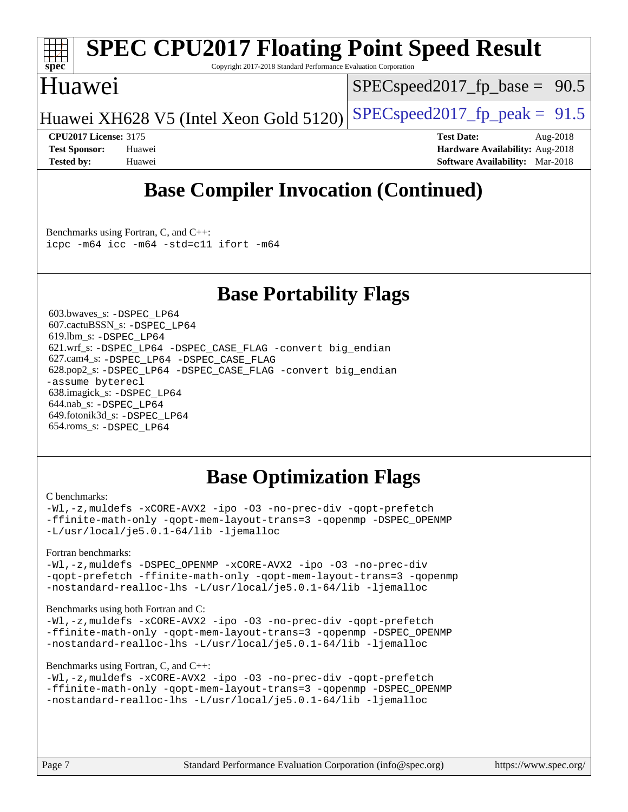

# **[SPEC CPU2017 Floating Point Speed Result](http://www.spec.org/auto/cpu2017/Docs/result-fields.html#SPECCPU2017FloatingPointSpeedResult)**

Copyright 2017-2018 Standard Performance Evaluation Corporation

### Huawei

 $SPECspeed2017_fp\_base = 90.5$ 

Huawei XH628 V5 (Intel Xeon Gold 5120) SPECspeed 2017 fp peak =  $91.5$ 

**[CPU2017 License:](http://www.spec.org/auto/cpu2017/Docs/result-fields.html#CPU2017License)** 3175 **[Test Date:](http://www.spec.org/auto/cpu2017/Docs/result-fields.html#TestDate)** Aug-2018 **[Test Sponsor:](http://www.spec.org/auto/cpu2017/Docs/result-fields.html#TestSponsor)** Huawei **[Hardware Availability:](http://www.spec.org/auto/cpu2017/Docs/result-fields.html#HardwareAvailability)** Aug-2018 **[Tested by:](http://www.spec.org/auto/cpu2017/Docs/result-fields.html#Testedby)** Huawei **[Software Availability:](http://www.spec.org/auto/cpu2017/Docs/result-fields.html#SoftwareAvailability)** Mar-2018

# **[Base Compiler Invocation \(Continued\)](http://www.spec.org/auto/cpu2017/Docs/result-fields.html#BaseCompilerInvocation)**

[Benchmarks using Fortran, C, and C++:](http://www.spec.org/auto/cpu2017/Docs/result-fields.html#BenchmarksusingFortranCandCXX) [icpc -m64](http://www.spec.org/cpu2017/results/res2018q4/cpu2017-20181008-09121.flags.html#user_CC_CXX_FCbase_intel_icpc_64bit_4ecb2543ae3f1412ef961e0650ca070fec7b7afdcd6ed48761b84423119d1bf6bdf5cad15b44d48e7256388bc77273b966e5eb805aefd121eb22e9299b2ec9d9) [icc -m64 -std=c11](http://www.spec.org/cpu2017/results/res2018q4/cpu2017-20181008-09121.flags.html#user_CC_CXX_FCbase_intel_icc_64bit_c11_33ee0cdaae7deeeab2a9725423ba97205ce30f63b9926c2519791662299b76a0318f32ddfffdc46587804de3178b4f9328c46fa7c2b0cd779d7a61945c91cd35) [ifort -m64](http://www.spec.org/cpu2017/results/res2018q4/cpu2017-20181008-09121.flags.html#user_CC_CXX_FCbase_intel_ifort_64bit_24f2bb282fbaeffd6157abe4f878425411749daecae9a33200eee2bee2fe76f3b89351d69a8130dd5949958ce389cf37ff59a95e7a40d588e8d3a57e0c3fd751)

## **[Base Portability Flags](http://www.spec.org/auto/cpu2017/Docs/result-fields.html#BasePortabilityFlags)**

 603.bwaves\_s: [-DSPEC\\_LP64](http://www.spec.org/cpu2017/results/res2018q4/cpu2017-20181008-09121.flags.html#suite_basePORTABILITY603_bwaves_s_DSPEC_LP64) 607.cactuBSSN\_s: [-DSPEC\\_LP64](http://www.spec.org/cpu2017/results/res2018q4/cpu2017-20181008-09121.flags.html#suite_basePORTABILITY607_cactuBSSN_s_DSPEC_LP64) 619.lbm\_s: [-DSPEC\\_LP64](http://www.spec.org/cpu2017/results/res2018q4/cpu2017-20181008-09121.flags.html#suite_basePORTABILITY619_lbm_s_DSPEC_LP64) 621.wrf\_s: [-DSPEC\\_LP64](http://www.spec.org/cpu2017/results/res2018q4/cpu2017-20181008-09121.flags.html#suite_basePORTABILITY621_wrf_s_DSPEC_LP64) [-DSPEC\\_CASE\\_FLAG](http://www.spec.org/cpu2017/results/res2018q4/cpu2017-20181008-09121.flags.html#b621.wrf_s_baseCPORTABILITY_DSPEC_CASE_FLAG) [-convert big\\_endian](http://www.spec.org/cpu2017/results/res2018q4/cpu2017-20181008-09121.flags.html#user_baseFPORTABILITY621_wrf_s_convert_big_endian_c3194028bc08c63ac5d04de18c48ce6d347e4e562e8892b8bdbdc0214820426deb8554edfa529a3fb25a586e65a3d812c835984020483e7e73212c4d31a38223) 627.cam4\_s: [-DSPEC\\_LP64](http://www.spec.org/cpu2017/results/res2018q4/cpu2017-20181008-09121.flags.html#suite_basePORTABILITY627_cam4_s_DSPEC_LP64) [-DSPEC\\_CASE\\_FLAG](http://www.spec.org/cpu2017/results/res2018q4/cpu2017-20181008-09121.flags.html#b627.cam4_s_baseCPORTABILITY_DSPEC_CASE_FLAG) 628.pop2\_s: [-DSPEC\\_LP64](http://www.spec.org/cpu2017/results/res2018q4/cpu2017-20181008-09121.flags.html#suite_basePORTABILITY628_pop2_s_DSPEC_LP64) [-DSPEC\\_CASE\\_FLAG](http://www.spec.org/cpu2017/results/res2018q4/cpu2017-20181008-09121.flags.html#b628.pop2_s_baseCPORTABILITY_DSPEC_CASE_FLAG) [-convert big\\_endian](http://www.spec.org/cpu2017/results/res2018q4/cpu2017-20181008-09121.flags.html#user_baseFPORTABILITY628_pop2_s_convert_big_endian_c3194028bc08c63ac5d04de18c48ce6d347e4e562e8892b8bdbdc0214820426deb8554edfa529a3fb25a586e65a3d812c835984020483e7e73212c4d31a38223) [-assume byterecl](http://www.spec.org/cpu2017/results/res2018q4/cpu2017-20181008-09121.flags.html#user_baseFPORTABILITY628_pop2_s_assume_byterecl_7e47d18b9513cf18525430bbf0f2177aa9bf368bc7a059c09b2c06a34b53bd3447c950d3f8d6c70e3faf3a05c8557d66a5798b567902e8849adc142926523472) 638.imagick\_s: [-DSPEC\\_LP64](http://www.spec.org/cpu2017/results/res2018q4/cpu2017-20181008-09121.flags.html#suite_basePORTABILITY638_imagick_s_DSPEC_LP64) 644.nab\_s: [-DSPEC\\_LP64](http://www.spec.org/cpu2017/results/res2018q4/cpu2017-20181008-09121.flags.html#suite_basePORTABILITY644_nab_s_DSPEC_LP64) 649.fotonik3d\_s: [-DSPEC\\_LP64](http://www.spec.org/cpu2017/results/res2018q4/cpu2017-20181008-09121.flags.html#suite_basePORTABILITY649_fotonik3d_s_DSPEC_LP64) 654.roms\_s: [-DSPEC\\_LP64](http://www.spec.org/cpu2017/results/res2018q4/cpu2017-20181008-09121.flags.html#suite_basePORTABILITY654_roms_s_DSPEC_LP64)

# **[Base Optimization Flags](http://www.spec.org/auto/cpu2017/Docs/result-fields.html#BaseOptimizationFlags)**

#### [C benchmarks](http://www.spec.org/auto/cpu2017/Docs/result-fields.html#Cbenchmarks):

[-Wl,-z,muldefs](http://www.spec.org/cpu2017/results/res2018q4/cpu2017-20181008-09121.flags.html#user_CCbase_link_force_multiple1_b4cbdb97b34bdee9ceefcfe54f4c8ea74255f0b02a4b23e853cdb0e18eb4525ac79b5a88067c842dd0ee6996c24547a27a4b99331201badda8798ef8a743f577) [-xCORE-AVX2](http://www.spec.org/cpu2017/results/res2018q4/cpu2017-20181008-09121.flags.html#user_CCbase_f-xCORE-AVX2) [-ipo](http://www.spec.org/cpu2017/results/res2018q4/cpu2017-20181008-09121.flags.html#user_CCbase_f-ipo) [-O3](http://www.spec.org/cpu2017/results/res2018q4/cpu2017-20181008-09121.flags.html#user_CCbase_f-O3) [-no-prec-div](http://www.spec.org/cpu2017/results/res2018q4/cpu2017-20181008-09121.flags.html#user_CCbase_f-no-prec-div) [-qopt-prefetch](http://www.spec.org/cpu2017/results/res2018q4/cpu2017-20181008-09121.flags.html#user_CCbase_f-qopt-prefetch) [-ffinite-math-only](http://www.spec.org/cpu2017/results/res2018q4/cpu2017-20181008-09121.flags.html#user_CCbase_f_finite_math_only_cb91587bd2077682c4b38af759c288ed7c732db004271a9512da14a4f8007909a5f1427ecbf1a0fb78ff2a814402c6114ac565ca162485bbcae155b5e4258871) [-qopt-mem-layout-trans=3](http://www.spec.org/cpu2017/results/res2018q4/cpu2017-20181008-09121.flags.html#user_CCbase_f-qopt-mem-layout-trans_de80db37974c74b1f0e20d883f0b675c88c3b01e9d123adea9b28688d64333345fb62bc4a798493513fdb68f60282f9a726aa07f478b2f7113531aecce732043) [-qopenmp](http://www.spec.org/cpu2017/results/res2018q4/cpu2017-20181008-09121.flags.html#user_CCbase_qopenmp_16be0c44f24f464004c6784a7acb94aca937f053568ce72f94b139a11c7c168634a55f6653758ddd83bcf7b8463e8028bb0b48b77bcddc6b78d5d95bb1df2967) [-DSPEC\\_OPENMP](http://www.spec.org/cpu2017/results/res2018q4/cpu2017-20181008-09121.flags.html#suite_CCbase_DSPEC_OPENMP) [-L/usr/local/je5.0.1-64/lib](http://www.spec.org/cpu2017/results/res2018q4/cpu2017-20181008-09121.flags.html#user_CCbase_jemalloc_link_path64_4b10a636b7bce113509b17f3bd0d6226c5fb2346b9178c2d0232c14f04ab830f976640479e5c33dc2bcbbdad86ecfb6634cbbd4418746f06f368b512fced5394) [-ljemalloc](http://www.spec.org/cpu2017/results/res2018q4/cpu2017-20181008-09121.flags.html#user_CCbase_jemalloc_link_lib_d1249b907c500fa1c0672f44f562e3d0f79738ae9e3c4a9c376d49f265a04b9c99b167ecedbf6711b3085be911c67ff61f150a17b3472be731631ba4d0471706)

#### [Fortran benchmarks](http://www.spec.org/auto/cpu2017/Docs/result-fields.html#Fortranbenchmarks):

[-Wl,-z,muldefs](http://www.spec.org/cpu2017/results/res2018q4/cpu2017-20181008-09121.flags.html#user_FCbase_link_force_multiple1_b4cbdb97b34bdee9ceefcfe54f4c8ea74255f0b02a4b23e853cdb0e18eb4525ac79b5a88067c842dd0ee6996c24547a27a4b99331201badda8798ef8a743f577) -DSPEC OPENMP [-xCORE-AVX2](http://www.spec.org/cpu2017/results/res2018q4/cpu2017-20181008-09121.flags.html#user_FCbase_f-xCORE-AVX2) [-ipo](http://www.spec.org/cpu2017/results/res2018q4/cpu2017-20181008-09121.flags.html#user_FCbase_f-ipo) [-O3](http://www.spec.org/cpu2017/results/res2018q4/cpu2017-20181008-09121.flags.html#user_FCbase_f-O3) [-no-prec-div](http://www.spec.org/cpu2017/results/res2018q4/cpu2017-20181008-09121.flags.html#user_FCbase_f-no-prec-div) [-qopt-prefetch](http://www.spec.org/cpu2017/results/res2018q4/cpu2017-20181008-09121.flags.html#user_FCbase_f-qopt-prefetch) [-ffinite-math-only](http://www.spec.org/cpu2017/results/res2018q4/cpu2017-20181008-09121.flags.html#user_FCbase_f_finite_math_only_cb91587bd2077682c4b38af759c288ed7c732db004271a9512da14a4f8007909a5f1427ecbf1a0fb78ff2a814402c6114ac565ca162485bbcae155b5e4258871) [-qopt-mem-layout-trans=3](http://www.spec.org/cpu2017/results/res2018q4/cpu2017-20181008-09121.flags.html#user_FCbase_f-qopt-mem-layout-trans_de80db37974c74b1f0e20d883f0b675c88c3b01e9d123adea9b28688d64333345fb62bc4a798493513fdb68f60282f9a726aa07f478b2f7113531aecce732043) [-qopenmp](http://www.spec.org/cpu2017/results/res2018q4/cpu2017-20181008-09121.flags.html#user_FCbase_qopenmp_16be0c44f24f464004c6784a7acb94aca937f053568ce72f94b139a11c7c168634a55f6653758ddd83bcf7b8463e8028bb0b48b77bcddc6b78d5d95bb1df2967) [-nostandard-realloc-lhs](http://www.spec.org/cpu2017/results/res2018q4/cpu2017-20181008-09121.flags.html#user_FCbase_f_2003_std_realloc_82b4557e90729c0f113870c07e44d33d6f5a304b4f63d4c15d2d0f1fab99f5daaed73bdb9275d9ae411527f28b936061aa8b9c8f2d63842963b95c9dd6426b8a) [-L/usr/local/je5.0.1-64/lib](http://www.spec.org/cpu2017/results/res2018q4/cpu2017-20181008-09121.flags.html#user_FCbase_jemalloc_link_path64_4b10a636b7bce113509b17f3bd0d6226c5fb2346b9178c2d0232c14f04ab830f976640479e5c33dc2bcbbdad86ecfb6634cbbd4418746f06f368b512fced5394) [-ljemalloc](http://www.spec.org/cpu2017/results/res2018q4/cpu2017-20181008-09121.flags.html#user_FCbase_jemalloc_link_lib_d1249b907c500fa1c0672f44f562e3d0f79738ae9e3c4a9c376d49f265a04b9c99b167ecedbf6711b3085be911c67ff61f150a17b3472be731631ba4d0471706)

#### [Benchmarks using both Fortran and C](http://www.spec.org/auto/cpu2017/Docs/result-fields.html#BenchmarksusingbothFortranandC):

[-Wl,-z,muldefs](http://www.spec.org/cpu2017/results/res2018q4/cpu2017-20181008-09121.flags.html#user_CC_FCbase_link_force_multiple1_b4cbdb97b34bdee9ceefcfe54f4c8ea74255f0b02a4b23e853cdb0e18eb4525ac79b5a88067c842dd0ee6996c24547a27a4b99331201badda8798ef8a743f577) [-xCORE-AVX2](http://www.spec.org/cpu2017/results/res2018q4/cpu2017-20181008-09121.flags.html#user_CC_FCbase_f-xCORE-AVX2) [-ipo](http://www.spec.org/cpu2017/results/res2018q4/cpu2017-20181008-09121.flags.html#user_CC_FCbase_f-ipo) [-O3](http://www.spec.org/cpu2017/results/res2018q4/cpu2017-20181008-09121.flags.html#user_CC_FCbase_f-O3) [-no-prec-div](http://www.spec.org/cpu2017/results/res2018q4/cpu2017-20181008-09121.flags.html#user_CC_FCbase_f-no-prec-div) [-qopt-prefetch](http://www.spec.org/cpu2017/results/res2018q4/cpu2017-20181008-09121.flags.html#user_CC_FCbase_f-qopt-prefetch) [-ffinite-math-only](http://www.spec.org/cpu2017/results/res2018q4/cpu2017-20181008-09121.flags.html#user_CC_FCbase_f_finite_math_only_cb91587bd2077682c4b38af759c288ed7c732db004271a9512da14a4f8007909a5f1427ecbf1a0fb78ff2a814402c6114ac565ca162485bbcae155b5e4258871) [-qopt-mem-layout-trans=3](http://www.spec.org/cpu2017/results/res2018q4/cpu2017-20181008-09121.flags.html#user_CC_FCbase_f-qopt-mem-layout-trans_de80db37974c74b1f0e20d883f0b675c88c3b01e9d123adea9b28688d64333345fb62bc4a798493513fdb68f60282f9a726aa07f478b2f7113531aecce732043) [-qopenmp](http://www.spec.org/cpu2017/results/res2018q4/cpu2017-20181008-09121.flags.html#user_CC_FCbase_qopenmp_16be0c44f24f464004c6784a7acb94aca937f053568ce72f94b139a11c7c168634a55f6653758ddd83bcf7b8463e8028bb0b48b77bcddc6b78d5d95bb1df2967) [-DSPEC\\_OPENMP](http://www.spec.org/cpu2017/results/res2018q4/cpu2017-20181008-09121.flags.html#suite_CC_FCbase_DSPEC_OPENMP) [-nostandard-realloc-lhs](http://www.spec.org/cpu2017/results/res2018q4/cpu2017-20181008-09121.flags.html#user_CC_FCbase_f_2003_std_realloc_82b4557e90729c0f113870c07e44d33d6f5a304b4f63d4c15d2d0f1fab99f5daaed73bdb9275d9ae411527f28b936061aa8b9c8f2d63842963b95c9dd6426b8a) [-L/usr/local/je5.0.1-64/lib](http://www.spec.org/cpu2017/results/res2018q4/cpu2017-20181008-09121.flags.html#user_CC_FCbase_jemalloc_link_path64_4b10a636b7bce113509b17f3bd0d6226c5fb2346b9178c2d0232c14f04ab830f976640479e5c33dc2bcbbdad86ecfb6634cbbd4418746f06f368b512fced5394) [-ljemalloc](http://www.spec.org/cpu2017/results/res2018q4/cpu2017-20181008-09121.flags.html#user_CC_FCbase_jemalloc_link_lib_d1249b907c500fa1c0672f44f562e3d0f79738ae9e3c4a9c376d49f265a04b9c99b167ecedbf6711b3085be911c67ff61f150a17b3472be731631ba4d0471706)

### [Benchmarks using Fortran, C, and C++:](http://www.spec.org/auto/cpu2017/Docs/result-fields.html#BenchmarksusingFortranCandCXX)

```
-Wl,-z,muldefs -xCORE-AVX2 -ipo -O3 -no-prec-div -qopt-prefetch
-ffinite-math-only -qopt-mem-layout-trans=3 -qopenmp -DSPEC_OPENMP
-nostandard-realloc-lhs -L/usr/local/je5.0.1-64/lib -ljemalloc
```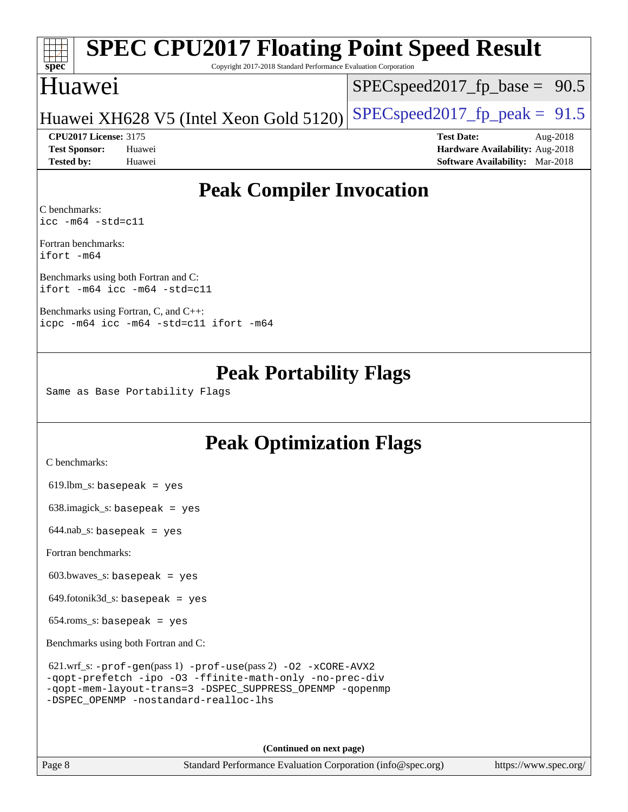### **[spec](http://www.spec.org/) [SPEC CPU2017 Floating Point Speed Result](http://www.spec.org/auto/cpu2017/Docs/result-fields.html#SPECCPU2017FloatingPointSpeedResult)** Copyright 2017-2018 Standard Performance Evaluation Corporation Huawei [SPECspeed2017\\_fp\\_base =](http://www.spec.org/auto/cpu2017/Docs/result-fields.html#SPECspeed2017fpbase) 90.5

### Huawei XH628 V5 (Intel Xeon Gold 5120) [SPECspeed2017\\_fp\\_peak =](http://www.spec.org/auto/cpu2017/Docs/result-fields.html#SPECspeed2017fppeak)  $91.5$

**[Test Sponsor:](http://www.spec.org/auto/cpu2017/Docs/result-fields.html#TestSponsor)** Huawei **[Hardware Availability:](http://www.spec.org/auto/cpu2017/Docs/result-fields.html#HardwareAvailability)** Aug-2018 **[Tested by:](http://www.spec.org/auto/cpu2017/Docs/result-fields.html#Testedby)** Huawei **[Software Availability:](http://www.spec.org/auto/cpu2017/Docs/result-fields.html#SoftwareAvailability)** Mar-2018

**[CPU2017 License:](http://www.spec.org/auto/cpu2017/Docs/result-fields.html#CPU2017License)** 3175 **[Test Date:](http://www.spec.org/auto/cpu2017/Docs/result-fields.html#TestDate)** Aug-2018

# **[Peak Compiler Invocation](http://www.spec.org/auto/cpu2017/Docs/result-fields.html#PeakCompilerInvocation)**

[C benchmarks](http://www.spec.org/auto/cpu2017/Docs/result-fields.html#Cbenchmarks): [icc -m64 -std=c11](http://www.spec.org/cpu2017/results/res2018q4/cpu2017-20181008-09121.flags.html#user_CCpeak_intel_icc_64bit_c11_33ee0cdaae7deeeab2a9725423ba97205ce30f63b9926c2519791662299b76a0318f32ddfffdc46587804de3178b4f9328c46fa7c2b0cd779d7a61945c91cd35)

[Fortran benchmarks:](http://www.spec.org/auto/cpu2017/Docs/result-fields.html#Fortranbenchmarks) [ifort -m64](http://www.spec.org/cpu2017/results/res2018q4/cpu2017-20181008-09121.flags.html#user_FCpeak_intel_ifort_64bit_24f2bb282fbaeffd6157abe4f878425411749daecae9a33200eee2bee2fe76f3b89351d69a8130dd5949958ce389cf37ff59a95e7a40d588e8d3a57e0c3fd751)

[Benchmarks using both Fortran and C](http://www.spec.org/auto/cpu2017/Docs/result-fields.html#BenchmarksusingbothFortranandC): [ifort -m64](http://www.spec.org/cpu2017/results/res2018q4/cpu2017-20181008-09121.flags.html#user_CC_FCpeak_intel_ifort_64bit_24f2bb282fbaeffd6157abe4f878425411749daecae9a33200eee2bee2fe76f3b89351d69a8130dd5949958ce389cf37ff59a95e7a40d588e8d3a57e0c3fd751) [icc -m64 -std=c11](http://www.spec.org/cpu2017/results/res2018q4/cpu2017-20181008-09121.flags.html#user_CC_FCpeak_intel_icc_64bit_c11_33ee0cdaae7deeeab2a9725423ba97205ce30f63b9926c2519791662299b76a0318f32ddfffdc46587804de3178b4f9328c46fa7c2b0cd779d7a61945c91cd35)

[Benchmarks using Fortran, C, and C++](http://www.spec.org/auto/cpu2017/Docs/result-fields.html#BenchmarksusingFortranCandCXX): [icpc -m64](http://www.spec.org/cpu2017/results/res2018q4/cpu2017-20181008-09121.flags.html#user_CC_CXX_FCpeak_intel_icpc_64bit_4ecb2543ae3f1412ef961e0650ca070fec7b7afdcd6ed48761b84423119d1bf6bdf5cad15b44d48e7256388bc77273b966e5eb805aefd121eb22e9299b2ec9d9) [icc -m64 -std=c11](http://www.spec.org/cpu2017/results/res2018q4/cpu2017-20181008-09121.flags.html#user_CC_CXX_FCpeak_intel_icc_64bit_c11_33ee0cdaae7deeeab2a9725423ba97205ce30f63b9926c2519791662299b76a0318f32ddfffdc46587804de3178b4f9328c46fa7c2b0cd779d7a61945c91cd35) [ifort -m64](http://www.spec.org/cpu2017/results/res2018q4/cpu2017-20181008-09121.flags.html#user_CC_CXX_FCpeak_intel_ifort_64bit_24f2bb282fbaeffd6157abe4f878425411749daecae9a33200eee2bee2fe76f3b89351d69a8130dd5949958ce389cf37ff59a95e7a40d588e8d3a57e0c3fd751)

## **[Peak Portability Flags](http://www.spec.org/auto/cpu2017/Docs/result-fields.html#PeakPortabilityFlags)**

Same as Base Portability Flags

# **[Peak Optimization Flags](http://www.spec.org/auto/cpu2017/Docs/result-fields.html#PeakOptimizationFlags)**

[C benchmarks](http://www.spec.org/auto/cpu2017/Docs/result-fields.html#Cbenchmarks):

 $619.$ lbm\_s: basepeak = yes

638.imagick\_s: basepeak = yes

 $644.nab_s$ : basepeak = yes

[Fortran benchmarks](http://www.spec.org/auto/cpu2017/Docs/result-fields.html#Fortranbenchmarks):

603.bwaves\_s: basepeak = yes

649.fotonik3d\_s: basepeak = yes

654.roms\_s: basepeak = yes

[Benchmarks using both Fortran and C](http://www.spec.org/auto/cpu2017/Docs/result-fields.html#BenchmarksusingbothFortranandC):

| 621.wrf_s: $-prof-qen(pass 1) -prof-use(pass 2) -02 -xCORE-AVX2$ |
|------------------------------------------------------------------|
| -gopt-prefetch -ipo -03 -ffinite-math-only -no-prec-div          |
| -gopt-mem-layout-trans=3 -DSPEC SUPPRESS OPENMP -gopenmp         |
| -DSPEC OPENMP -nostandard-realloc-lhs                            |

**(Continued on next page)**